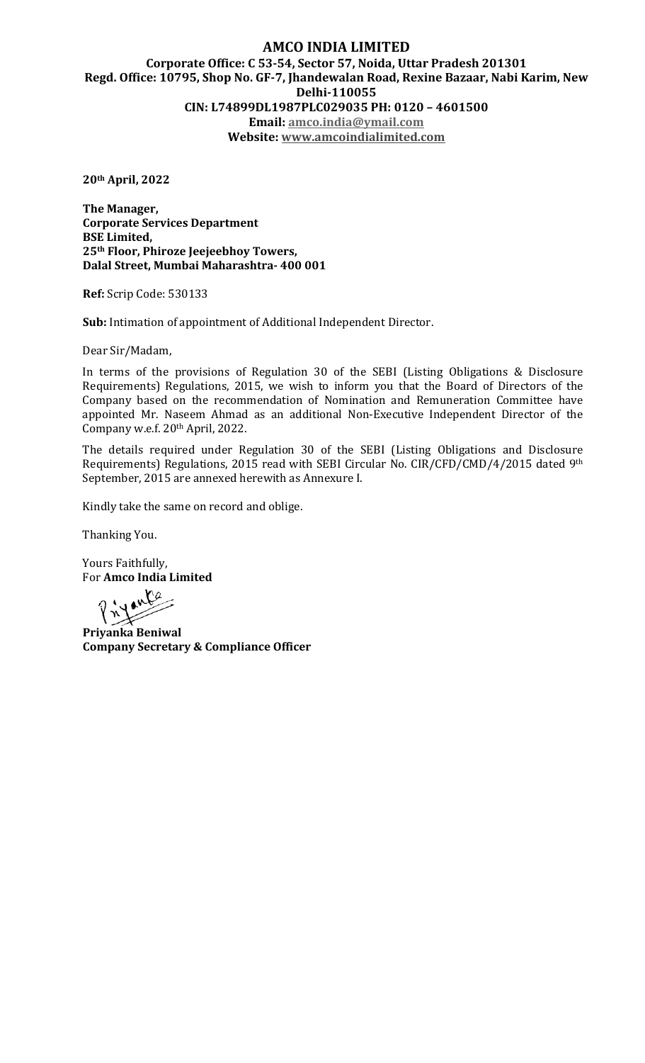## **AMCO INDIA LIMITED Corporate Office: C 53-54, Sector 57, Noida, Uttar Pradesh 201301 Regd. Office: 10795, Shop No. GF-7, Jhandewalan Road, Rexine Bazaar, Nabi Karim, New Delhi-110055 CIN: L74899DL1987PLC029035 PH: 0120 – 4601500 Email: amco.india@ymail.com Website: www.amcoindialimited.com**

**20th April, 2022** 

**The Manager, Corporate Services Department BSE Limited, 25th Floor, Phiroze Jeejeebhoy Towers, Dalal Street, Mumbai Maharashtra- 400 001** 

**Ref:** Scrip Code: 530133

**Sub:** Intimation of appointment of Additional Independent Director.

Dear Sir/Madam,

In terms of the provisions of Regulation 30 of the SEBI (Listing Obligations & Disclosure Requirements) Regulations, 2015, we wish to inform you that the Board of Directors of the Company based on the recommendation of Nomination and Remuneration Committee have appointed Mr. Naseem Ahmad as an additional Non-Executive Independent Director of the Company w.e.f. 20th April, 2022.

The details required under Regulation 30 of the SEBI (Listing Obligations and Disclosure Requirements) Regulations, 2015 read with SEBI Circular No. CIR/CFD/CMD/4/2015 dated 9th September, 2015 are annexed herewith as Annexure I.

Kindly take the same on record and oblige.

Thanking You.

Yours Faithfully, For **Amco India Limited** 

**Priyanta**<br>Priyanka Beniwal

**Company Secretary & Compliance Officer**